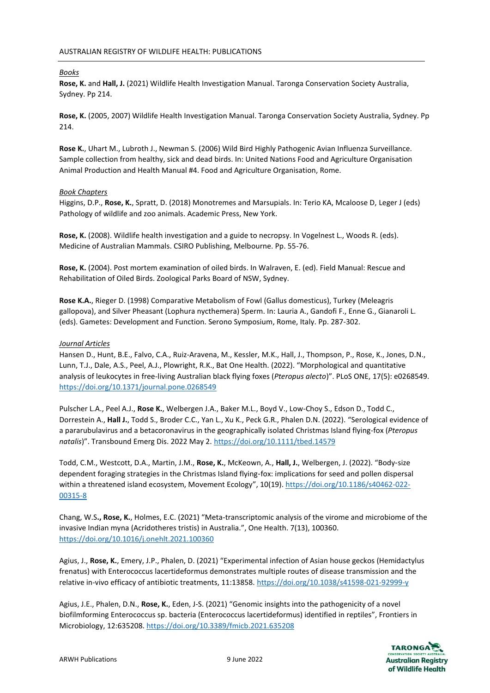## *Books*

**Rose, K.** and **Hall, J.** (2021) Wildlife Health Investigation Manual. Taronga Conservation Society Australia, Sydney. Pp 214.

**Rose, K.** (2005, 2007) Wildlife Health Investigation Manual. Taronga Conservation Society Australia, Sydney. Pp 214.

**Rose K.**, Uhart M., Lubroth J., Newman S. (2006) Wild Bird Highly Pathogenic Avian Influenza Surveillance. Sample collection from healthy, sick and dead birds. In: United Nations Food and Agriculture Organisation Animal Production and Health Manual #4. Food and Agriculture Organisation, Rome.

### *Book Chapters*

Higgins, D.P., **Rose, K.**, Spratt, D. (2018) Monotremes and Marsupials. In: Terio KA, Mcaloose D, Leger J (eds) Pathology of wildlife and zoo animals. Academic Press, New York.

**Rose, K.** (2008). Wildlife health investigation and a guide to necropsy. In Vogelnest L., Woods R. (eds). Medicine of Australian Mammals. CSIRO Publishing, Melbourne. Pp. 55-76.

**Rose, K.** (2004). Post mortem examination of oiled birds. In Walraven, E. (ed). Field Manual: Rescue and Rehabilitation of Oiled Birds. Zoological Parks Board of NSW, Sydney.

**Rose K.A.**, Rieger D. (1998) Comparative Metabolism of Fowl (Gallus domesticus), Turkey (Meleagris gallopova), and Silver Pheasant (Lophura nycthemera) Sperm. In: Lauria A., Gandofi F., Enne G., Gianaroli L. (eds). Gametes: Development and Function. Serono Symposium, Rome, Italy. Pp. 287-302.

### *Journal Articles*

Hansen D., Hunt, B.E., Falvo, C.A., Ruiz-Aravena, M., Kessler, M.K., Hall, J., Thompson, P., Rose, K., Jones, D.N., Lunn, T.J., Dale, A.S., Peel, A.J., Plowright, R.K., Bat One Health. (2022). "Morphological and quantitative analysis of leukocytes in free-living Australian black flying foxes (*Pteropus alecto*)". PLoS ONE, 17(5): e0268549. <https://doi.org/10.1371/journal.pone.0268549>

Pulscher L.A., Peel A.J., **Rose K.**, Welbergen J.A., Baker M.L., Boyd V., Low-Choy S., Edson D., Todd C., Dorrestein A., **Hall J.**, Todd S., Broder C.C., Yan L., Xu K., Peck G.R., Phalen D.N. (2022). "Serological evidence of a pararubulavirus and a betacoronavirus in the geographically isolated Christmas Island flying-fox (*Pteropus natalis*)". Transbound Emerg Dis. 2022 May 2.<https://doi.org/10.1111/tbed.14579>

Todd, C.M., Westcott, D.A., Martin, J.M., **Rose, K.**, McKeown, A., **Hall, J.**, Welbergen, J. (2022). "Body‑size dependent foraging strategies in the Christmas Island flying-fox: implications for seed and pollen dispersal within a threatened island ecosystem, Movement Ecology", 10(19). [https://doi.org/10.1186/s40462-022-](https://doi.org/10.1186/s40462-022-00315-8) [00315-8](https://doi.org/10.1186/s40462-022-00315-8)

Chang, W.S**., Rose, K.**, Holmes, E.C. (2021) "Meta-transcriptomic analysis of the virome and microbiome of the invasive Indian myna (Acridotheres tristis) in Australia.", One Health. 7(13), 100360. <https://doi.org/10.1016/j.onehlt.2021.100360>

Agius, J., **Rose, K.**, Emery, J.P., Phalen, D. (2021) "Experimental infection of Asian house geckos (Hemidactylus frenatus) with Enterococcus lacertideformus demonstrates multiple routes of disease transmission and the relative in-vivo efficacy of antibiotic treatments, 11:13858.<https://doi.org/10.1038/s41598-021-92999-y>

Agius, J.E., Phalen, D.N., **Rose, K.**, Eden, J-S. (2021) "Genomic insights into the pathogenicity of a novel biofilmforming Enterococcus sp. bacteria (Enterococcus lacertideformus) identified in reptiles", Frontiers in Microbiology, 12:635208.<https://doi.org/10.3389/fmicb.2021.635208>

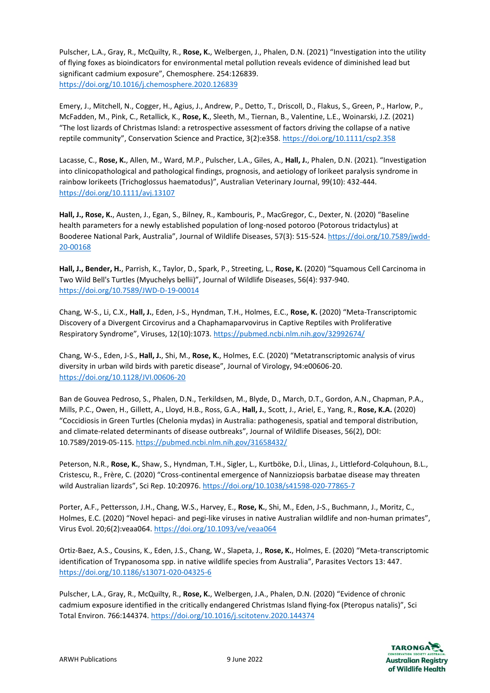Pulscher, L.A., Gray, R., McQuilty, R., **Rose, K.**, Welbergen, J., Phalen, D.N. (2021) "Investigation into the utility of flying foxes as bioindicators for environmental metal pollution reveals evidence of diminished lead but significant cadmium exposure", Chemosphere. 254:126839. <https://doi.org/10.1016/j.chemosphere.2020.126839>

Emery, J., Mitchell, N., Cogger, H., Agius, J., Andrew, P., Detto, T., Driscoll, D., Flakus, S., Green, P., Harlow, P., McFadden, M., Pink, C., Retallick, K., **Rose, K.**, Sleeth, M., Tiernan, B., Valentine, L.E., Woinarski, J.Z. (2021) "The lost lizards of Christmas Island: a retrospective assessment of factors driving the collapse of a native reptile community", Conservation Science and Practice, 3(2):e358. <https://doi.org/10.1111/csp2.358>

Lacasse, C., **Rose, K.**, Allen, M., Ward, M.P., Pulscher, L.A., Giles, A., **Hall, J.**, Phalen, D.N. (2021). "Investigation into clinicopathological and pathological findings, prognosis, and aetiology of lorikeet paralysis syndrome in rainbow lorikeets (Trichoglossus haematodus)", Australian Veterinary Journal, 99(10): 432-444. <https://doi.org/10.1111/avj.13107>

**Hall, J., Rose, K.**, Austen, J., Egan, S., Bilney, R., Kambouris, P., MacGregor, C., Dexter, N. (2020) "Baseline health parameters for a newly established population of long-nosed potoroo (Potorous tridactylus) at Booderee National Park, Australia", Journal of Wildlife Diseases, 57(3): 515-524[. https://doi.org/10.7589/jwdd-](https://doi.org/10.7589/jwdd-20-00168)[20-00168](https://doi.org/10.7589/jwdd-20-00168)

**Hall, J., Bender, H.**, Parrish, K., Taylor, D., Spark, P., Streeting, L., **Rose, K.** (2020) "Squamous Cell Carcinoma in Two Wild Bell's Turtles (Myuchelys bellii)", Journal of Wildlife Diseases, 56(4): 937-940. <https://doi.org/10.7589/JWD-D-19-00014>

Chang, W-S., Li, C.X., **Hall, J.**, Eden, J-S., Hyndman, T.H., Holmes, E.C., **Rose, K.** (2020) "Meta-Transcriptomic Discovery of a Divergent Circovirus and a Chaphamaparvovirus in Captive Reptiles with Proliferative Respiratory Syndrome", Viruses, 12(10):1073. <https://pubmed.ncbi.nlm.nih.gov/32992674/>

Chang, W-S., Eden, J-S., **Hall, J.**, Shi, M., **Rose, K.**, Holmes, E.C. (2020) "Metatranscriptomic analysis of virus diversity in urban wild birds with paretic disease", Journal of Virology, 94:e00606-20. <https://doi.org/10.1128/JVI.00606-20>

Ban de Gouvea Pedroso, S., Phalen, D.N., Terkildsen, M., Blyde, D., March, D.T., Gordon, A.N., Chapman, P.A., Mills, P.C., Owen, H., Gillett, A., Lloyd, H.B., Ross, G.A., **Hall, J.**, Scott, J., Ariel, E., Yang, R., **Rose, K.A.** (2020) "Coccidiosis in Green Turtles (Chelonia mydas) in Australia: pathogenesis, spatial and temporal distribution, and climate-related determinants of disease outbreaks", Journal of Wildlife Diseases, 56(2), DOI: 10.7589/2019-05-115.<https://pubmed.ncbi.nlm.nih.gov/31658432/>

Peterson, N.R., **Rose, K.**, Shaw, S., Hyndman, T.H., Sigler, L., Kurtböke, D.İ., Llinas, J., Littleford-Colquhoun, B.L., Cristescu, R., Frère, C. (2020) "Cross-continental emergence of Nannizziopsis barbatae disease may threaten wild Australian lizards", Sci Rep. 10:20976. <https://doi.org/10.1038/s41598-020-77865-7>

Porter, A.F., Pettersson, J.H., Chang, W.S., Harvey, E., **Rose, K.**, Shi, M., Eden, J-S., Buchmann, J., Moritz, C., Holmes, E.C. (2020) "Novel hepaci- and pegi-like viruses in native Australian wildlife and non-human primates", Virus Evol. 20;6(2):veaa064[. https://doi.org/10.1093/ve/veaa064](https://doi.org/10.1093/ve/veaa064)

Ortiz-Baez, A.S., Cousins, K., Eden, J.S., Chang, W., Slapeta, J., **Rose, K.**, Holmes, E. (2020) "Meta-transcriptomic identification of Trypanosoma spp. in native wildlife species from Australia", Parasites Vectors 13: 447. <https://doi.org/10.1186/s13071-020-04325-6>

Pulscher, L.A., Gray, R., McQuilty, R., **Rose, K.**, Welbergen, J.A., Phalen, D.N. (2020) "Evidence of chronic cadmium exposure identified in the critically endangered Christmas Island flying-fox (Pteropus natalis)", Sci Total Environ. 766:144374[. https://doi.org/10.1016/j.scitotenv.2020.144374](https://doi.org/10.1016/j.scitotenv.2020.144374)

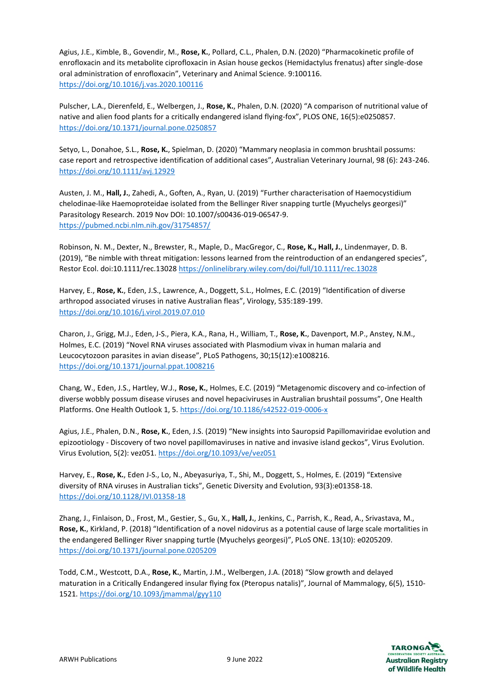Agius, J.E., Kimble, B., Govendir, M., **Rose, K.**, Pollard, C.L., Phalen, D.N. (2020) "Pharmacokinetic profile of enrofloxacin and its metabolite ciprofloxacin in Asian house geckos (Hemidactylus frenatus) after single-dose oral administration of enrofloxacin", Veterinary and Animal Science. 9:100116. <https://doi.org/10.1016/j.vas.2020.100116>

Pulscher, L.A., Dierenfeld, E., Welbergen, J., **Rose, K.**, Phalen, D.N. (2020) "A comparison of nutritional value of native and alien food plants for a critically endangered island flying-fox", PLOS ONE, 16(5):e0250857. <https://doi.org/10.1371/journal.pone.0250857>

Setyo, L., Donahoe, S.L., **Rose, K.**, Spielman, D. (2020) "Mammary neoplasia in common brushtail possums: case report and retrospective identification of additional cases", Australian Veterinary Journal, 98 (6): 243-246. <https://doi.org/10.1111/avj.12929>

Austen, J. M., **Hall, J.**, Zahedi, A., Goften, A., Ryan, U. (2019) "Further characterisation of Haemocystidium chelodinae-like Haemoproteidae isolated from the Bellinger River snapping turtle (Myuchelys georgesi)" Parasitology Research. 2019 Nov DOI: 10.1007/s00436-019-06547-9. <https://pubmed.ncbi.nlm.nih.gov/31754857/>

Robinson, N. M., Dexter, N., Brewster, R., Maple, D., MacGregor, C., **Rose, K., Hall, J.**, Lindenmayer, D. B. (2019), "Be nimble with threat mitigation: lessons learned from the reintroduction of an endangered species", Restor Ecol. doi:10.1111/rec.13028<https://onlinelibrary.wiley.com/doi/full/10.1111/rec.13028>

Harvey, E., **Rose, K.**, Eden, J.S., Lawrence, A., Doggett, S.L., Holmes, E.C. (2019) "Identification of diverse arthropod associated viruses in native Australian fleas", Virology, 535:189-199. <https://doi.org/10.1016/j.virol.2019.07.010>

Charon, J., Grigg, M.J., Eden, J-S., Piera, K.A., Rana, H., William, T., **Rose, K.**, Davenport, M.P., Anstey, N.M., Holmes, E.C. (2019) "Novel RNA viruses associated with Plasmodium vivax in human malaria and Leucocytozoon parasites in avian disease", PLoS Pathogens, 30;15(12):e1008216. <https://doi.org/10.1371/journal.ppat.1008216>

Chang, W., Eden, J.S., Hartley, W.J., **Rose, K.**, Holmes, E.C. (2019) "Metagenomic discovery and co-infection of diverse wobbly possum disease viruses and novel hepaciviruses in Australian brushtail possums", One Health Platforms. One Health Outlook 1, 5.<https://doi.org/10.1186/s42522-019-0006-x>

Agius, J.E., Phalen, D.N., **Rose, K.**, Eden, J.S. (2019) "New insights into Sauropsid Papillomaviridae evolution and epizootiology - Discovery of two novel papillomaviruses in native and invasive island geckos", Virus Evolution. Virus Evolution, 5(2): vez051[. https://doi.org/10.1093/ve/vez051](https://doi.org/10.1093/ve/vez051)

Harvey, E., **Rose, K.**, Eden J-S., Lo, N., Abeyasuriya, T., Shi, M., Doggett, S., Holmes, E. (2019) "Extensive diversity of RNA viruses in Australian ticks", Genetic Diversity and Evolution, 93(3):e01358-18. <https://doi.org/10.1128/JVI.01358-18>

Zhang, J., Finlaison, D., Frost, M., Gestier, S., Gu, X., **Hall, J.**, Jenkins, C., Parrish, K., Read, A., Srivastava, M., **Rose, K.**, Kirkland, P. (2018) "Identification of a novel nidovirus as a potential cause of large scale mortalities in the endangered Bellinger River snapping turtle (Myuchelys georgesi)", PLoS ONE. 13(10): e0205209. <https://doi.org/10.1371/journal.pone.0205209>

Todd, C.M., Westcott, D.A., **Rose, K.**, Martin, J.M., Welbergen, J.A. (2018) "Slow growth and delayed maturation in a Critically Endangered insular flying fox (Pteropus natalis)", Journal of Mammalogy, 6(5), 1510- 1521.<https://doi.org/10.1093/jmammal/gyy110>

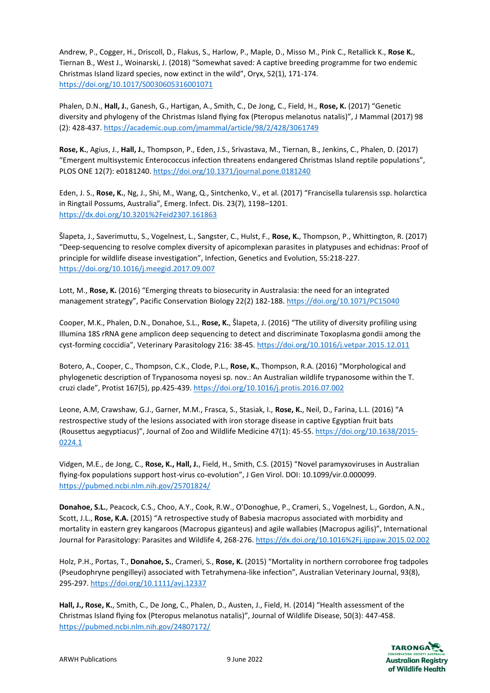Andrew, P., Cogger, H., Driscoll, D., Flakus, S., Harlow, P., Maple, D., Misso M., Pink C., Retallick K., **Rose K.**, Tiernan B., West J., Woinarski, J. (2018) "Somewhat saved: A captive breeding programme for two endemic Christmas Island lizard species, now extinct in the wild", Oryx, 52(1), 171-174. <https://doi.org/10.1017/S0030605316001071>

Phalen, D.N., **Hall, J.**, Ganesh, G., Hartigan, A., Smith, C., De Jong, C., Field, H., **Rose, K.** (2017) "Genetic diversity and phylogeny of the Christmas Island flying fox (Pteropus melanotus natalis)", J Mammal (2017) 98 (2): 428-437.<https://academic.oup.com/jmammal/article/98/2/428/3061749>

**Rose, K.**, Agius, J., **Hall, J.**, Thompson, P., Eden, J.S., Srivastava, M., Tiernan, B., Jenkins, C., Phalen, D. (2017) "Emergent multisystemic Enterococcus infection threatens endangered Christmas Island reptile populations", PLOS ONE 12(7): e0181240[. https://doi.org/10.1371/journal.pone.0181240](https://doi.org/10.1371/journal.pone.0181240)

Eden, J. S., **Rose, K.**, Ng, J., Shi, M., Wang, Q., Sintchenko, V., et al. (2017) "Francisella tularensis ssp. holarctica in Ringtail Possums, Australia", Emerg. Infect. Dis. 23(7), 1198–1201. <https://dx.doi.org/10.3201%2Feid2307.161863>

Šlapeta, J., Saverimuttu, S., Vogelnest, L., Sangster, C., Hulst, F., **Rose, K.**, Thompson, P., Whittington, R. (2017) "Deep-sequencing to resolve complex diversity of apicomplexan parasites in platypuses and echidnas: Proof of principle for wildlife disease investigation", Infection, Genetics and Evolution, 55:218-227. <https://doi.org/10.1016/j.meegid.2017.09.007>

Lott, M., **Rose, K.** (2016) "Emerging threats to biosecurity in Australasia: the need for an integrated management strategy", Pacific Conservation Biology 22(2) 182-188[. https://doi.org/10.1071/PC15040](https://doi.org/10.1071/PC15040)

Cooper, M.K., Phalen, D.N., Donahoe, S.L., **Rose, K.**, Šlapeta, J. (2016) "The utility of diversity profiling using Illumina 18S rRNA gene amplicon deep sequencing to detect and discriminate Toxoplasma gondii among the cyst-forming coccidia", Veterinary Parasitology 216: 38-45[. https://doi.org/10.1016/j.vetpar.2015.12.011](https://doi.org/10.1016/j.vetpar.2015.12.011)

Botero, A., Cooper, C., Thompson, C.K., Clode, P.L., **Rose, K.**, Thompson, R.A. (2016) "Morphological and phylogenetic description of Trypanosoma noyesi sp. nov.: An Australian wildlife trypanosome within the T. cruzi clade", Protist 167(5), pp.425-439[. https://doi.org/10.1016/j.protis.2016.07.002](https://doi.org/10.1016/j.protis.2016.07.002)

Leone, A.M, Crawshaw, G.J., Garner, M.M., Frasca, S., Stasiak, I., **Rose, K.**, Neil, D., Farina, L.L. (2016) "A restrospective study of the lesions associated with iron storage disease in captive Egyptian fruit bats (Rousettus aegyptiacus)", Journal of Zoo and Wildlife Medicine 47(1): 45-55[. https://doi.org/10.1638/2015-](https://doi.org/10.1638/2015-0224.1) [0224.1](https://doi.org/10.1638/2015-0224.1)

Vidgen, M.E., de Jong, C., **Rose, K., Hall, J.**, Field, H., Smith, C.S. (2015) "Novel paramyxoviruses in Australian flying-fox populations support host-virus co-evolution", J Gen Virol. DOI: 10.1099/vir.0.000099. <https://pubmed.ncbi.nlm.nih.gov/25701824/>

**Donahoe, S.L.**, Peacock, C.S., Choo, A.Y., Cook, R.W., O'Donoghue, P., Crameri, S., Vogelnest, L., Gordon, A.N., Scott, J.L., **Rose, K.A.** (2015) "A retrospective study of Babesia macropus associated with morbidity and mortality in eastern grey kangaroos (Macropus giganteus) and agile wallabies (Macropus agilis)", International Journal for Parasitology: Parasites and Wildlife 4, 268-276.<https://dx.doi.org/10.1016%2Fj.ijppaw.2015.02.002>

Holz, P.H., Portas, T., **Donahoe, S.**, Crameri, S., **Rose, K.** (2015) "Mortality in northern corroboree frog tadpoles (Pseudophryne pengilleyi) associated with Tetrahymena-like infection", Australian Veterinary Journal, 93(8), 295-297.<https://doi.org/10.1111/avj.12337>

**Hall, J., Rose, K.**, Smith, C., De Jong, C., Phalen, D., Austen, J., Field, H. (2014) "Health assessment of the Christmas Island flying fox (Pteropus melanotus natalis)", Journal of Wildlife Disease, 50(3): 447-458. <https://pubmed.ncbi.nlm.nih.gov/24807172/>

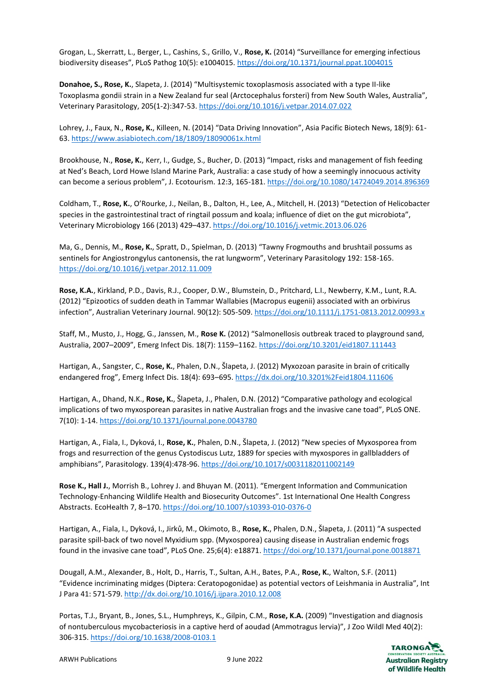Grogan, L., Skerratt, L., Berger, L., Cashins, S., Grillo, V., **Rose, K.** (2014) "Surveillance for emerging infectious biodiversity diseases", PLoS Pathog 10(5): e1004015.<https://doi.org/10.1371/journal.ppat.1004015>

**Donahoe, S., Rose, K.**, Slapeta, J. (2014) "Multisystemic toxoplasmosis associated with a type II-like Toxoplasma gondii strain in a New Zealand fur seal (Arctocephalus forsteri) from New South Wales, Australia", Veterinary Parasitology, 205(1-2):347-53.<https://doi.org/10.1016/j.vetpar.2014.07.022>

Lohrey, J., Faux, N., **Rose, K.**, Killeen, N. (2014) "Data Driving Innovation", Asia Pacific Biotech News, 18(9): 61- 63.<https://www.asiabiotech.com/18/1809/18090061x.html>

Brookhouse, N., **Rose, K.**, Kerr, I., Gudge, S., Bucher, D. (2013) "Impact, risks and management of fish feeding at Ned's Beach, Lord Howe Island Marine Park, Australia: a case study of how a seemingly innocuous activity can become a serious problem", J. Ecotourism. 12:3, 165-181.<https://doi.org/10.1080/14724049.2014.896369>

Coldham, T., **Rose, K.**, O'Rourke, J., Neilan, B., Dalton, H., Lee, A., Mitchell, H. (2013) "Detection of Helicobacter species in the gastrointestinal tract of ringtail possum and koala; influence of diet on the gut microbiota", Veterinary Microbiology 166 (2013) 429–437.<https://doi.org/10.1016/j.vetmic.2013.06.026>

Ma, G., Dennis, M., **Rose, K.**, Spratt, D., Spielman, D. (2013) "Tawny Frogmouths and brushtail possums as sentinels for Angiostrongylus cantonensis, the rat lungworm", Veterinary Parasitology 192: 158-165. <https://doi.org/10.1016/j.vetpar.2012.11.009>

**Rose, K.A.**, Kirkland, P.D., Davis, R.J., Cooper, D.W., Blumstein, D., Pritchard, L.I., Newberry, K.M., Lunt, R.A. (2012) "Epizootics of sudden death in Tammar Wallabies (Macropus eugenii) associated with an orbivirus infection", Australian Veterinary Journal. 90(12): 505-509[. https://doi.org/10.1111/j.1751-0813.2012.00993.x](https://doi.org/10.1111/j.1751-0813.2012.00993.x)

Staff, M., Musto, J., Hogg, G., Janssen, M., **Rose K.** (2012) "Salmonellosis outbreak traced to playground sand, Australia, 2007–2009", Emerg Infect Dis. 18(7): 1159–1162.<https://doi.org/10.3201/eid1807.111443>

Hartigan, A., Sangster, C., **Rose, K.**, Phalen, D.N., Šlapeta, J. (2012) Myxozoan parasite in brain of critically endangered frog", Emerg Infect Dis. 18(4): 693-695.<https://dx.doi.org/10.3201%2Feid1804.111606>

Hartigan, A., Dhand, N.K., **Rose, K.**, Šlapeta, J., Phalen, D.N. (2012) "Comparative pathology and ecological implications of two myxosporean parasites in native Australian frogs and the invasive cane toad", PLoS ONE. 7(10): 1-14.<https://doi.org/10.1371/journal.pone.0043780>

Hartigan, A., Fiala, I., Dyková, I., **Rose, K.**, Phalen, D.N., Šlapeta, J. (2012) "New species of Myxosporea from frogs and resurrection of the genus Cystodiscus Lutz, 1889 for species with myxospores in gallbladders of amphibians", Parasitology. 139(4):478-96.<https://doi.org/10.1017/s0031182011002149>

**Rose K., Hall J.**, Morrish B., Lohrey J. and Bhuyan M. (2011). "Emergent Information and Communication Technology-Enhancing Wildlife Health and Biosecurity Outcomes". 1st International One Health Congress Abstracts. EcoHealth 7, 8–170.<https://doi.org/10.1007/s10393-010-0376-0>

Hartigan, A., Fiala, I., Dyková, I., Jirků, M., Okimoto, B., **Rose, K.**, Phalen, D.N., Šlapeta, J. (2011) "A suspected parasite spill-back of two novel Myxidium spp. (Myxosporea) causing disease in Australian endemic frogs found in the invasive cane toad", PLoS One. 25;6(4): e18871. <https://doi.org/10.1371/journal.pone.0018871>

Dougall, A.M., Alexander, B., Holt, D., Harris, T., Sultan, A.H., Bates, P.A., **Rose, K.**, Walton, S.F. (2011) "Evidence incriminating midges (Diptera: Ceratopogonidae) as potential vectors of Leishmania in Australia", Int J Para 41: 571-579.<http://dx.doi.org/10.1016/j.ijpara.2010.12.008>

Portas, T.J., Bryant, B., Jones, S.L., Humphreys, K., Gilpin, C.M., **Rose, K.A.** (2009) "Investigation and diagnosis of nontuberculous mycobacteriosis in a captive herd of aoudad (Ammotragus lervia)", J Zoo Wildl Med 40(2): 306-315.<https://doi.org/10.1638/2008-0103.1>

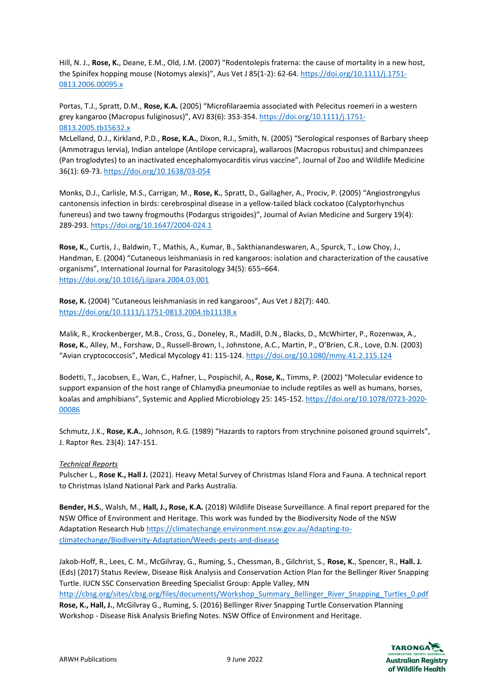Hill, N. J., **Rose, K.**, Deane, E.M., Old, J.M. (2007) "Rodentolepis fraterna: the cause of mortality in a new host, the Spinifex hopping mouse (Notomys alexis)", Aus Vet J 85(1-2): 62-64[. https://doi.org/10.1111/j.1751-](https://doi.org/10.1111/j.1751-0813.2006.00095.x) [0813.2006.00095.x](https://doi.org/10.1111/j.1751-0813.2006.00095.x)

Portas, T.J., Spratt, D.M., **Rose, K.A.** (2005) "Microfilaraemia associated with Pelecitus roemeri in a western grey kangaroo (Macropus fuliginosus)", AVJ 83(6): 353-354. [https://doi.org/10.1111/j.1751-](https://doi.org/10.1111/j.1751-0813.2005.tb15632.x) [0813.2005.tb15632.x](https://doi.org/10.1111/j.1751-0813.2005.tb15632.x)

McLelland, D.J., Kirkland, P.D., **Rose, K.A.**, Dixon, R.J., Smith, N. (2005) "Serological responses of Barbary sheep (Ammotragus lervia), Indian antelope (Antilope cervicapra), wallaroos (Macropus robustus) and chimpanzees (Pan troglodytes) to an inactivated encephalomyocarditis virus vaccine", Journal of Zoo and Wildlife Medicine 36(1): 69-73.<https://doi.org/10.1638/03-054>

Monks, D.J., Carlisle, M.S., Carrigan, M., **Rose, K.**, Spratt, D., Gallagher, A., Prociv, P. (2005) "Angiostrongylus cantonensis infection in birds: cerebrospinal disease in a yellow-tailed black cockatoo (Calyptorhynchus funereus) and two tawny frogmouths (Podargus strigoides)", Journal of Avian Medicine and Surgery 19(4): 289-293.<https://doi.org/10.1647/2004-024.1>

**Rose, K.**, Curtis, J., Baldwin, T., Mathis, A., Kumar, B., Sakthianandeswaren, A., Spurck, T., Low Choy, J., Handman, E. (2004) "Cutaneous leishmaniasis in red kangaroos: isolation and characterization of the causative organisms", International Journal for Parasitology 34(5): 655–664. <https://doi.org/10.1016/j.ijpara.2004.03.001>

**Rose, K.** (2004) "Cutaneous leishmaniasis in red kangaroos", Aus Vet J 82(7): 440. <https://doi.org/10.1111/j.1751-0813.2004.tb11138.x>

Malik, R., Krockenberger, M.B., Cross, G., Doneley, R., Madill, D.N., Blacks, D., McWhirter, P., Rozenwax, A., **Rose, K.**, Alley, M., Forshaw, D., Russell-Brown, I., Johnstone, A.C., Martin, P., O'Brien, C.R., Love, D.N. (2003) "Avian cryptococcosis", Medical Mycology 41: 115-124.<https://doi.org/10.1080/mmy.41.2.115.124>

Bodetti, T., Jacobsen, E., Wan, C., Hafner, L., Pospischil, A., **Rose, K.**, Timms, P. (2002) "Molecular evidence to support expansion of the host range of Chlamydia pneumoniae to include reptiles as well as humans, horses, koalas and amphibians", Systemic and Applied Microbiology 25: 145-152[. https://doi.org/10.1078/0723-2020-](https://doi.org/10.1078/0723-2020-00085) [00086](https://doi.org/10.1078/0723-2020-00085)

Schmutz, J.K., **Rose, K.A.**, Johnson, R.G. (1989) "Hazards to raptors from strychnine poisoned ground squirrels", J. Raptor Res. 23(4): 147-151.

# *Technical Reports*

Pulscher L., **Rose K., Hall J.** (2021). Heavy Metal Survey of Christmas Island Flora and Fauna. A technical report to Christmas Island National Park and Parks Australia.

**Bender, H.S.**, Walsh, M., **Hall, J., Rose, K.A.** (2018) Wildlife Disease Surveillance. A final report prepared for the NSW Office of Environment and Heritage. This work was funded by the Biodiversity Node of the NSW Adaptation Research Hub [https://climatechange.environment.nsw.gov.au/Adapting-to](https://climatechange.environment.nsw.gov.au/Adapting-to-climatechange/Biodiversity-Adaptation/Weeds-pests-and-disease)[climatechange/Biodiversity-Adaptation/Weeds-pests-and-disease](https://climatechange.environment.nsw.gov.au/Adapting-to-climatechange/Biodiversity-Adaptation/Weeds-pests-and-disease)

Jakob-Hoff, R., Lees, C. M., McGilvray, G., Ruming, S., Chessman, B., Gilchrist, S., **Rose, K.**, Spencer, R., **Hall. J.** (Eds) (2017) Status Review, Disease Risk Analysis and Conservation Action Plan for the Bellinger River Snapping Turtle. IUCN SSC Conservation Breeding Specialist Group: Apple Valley, MN [http://cbsg.org/sites/cbsg.org/files/documents/Workshop\\_Summary\\_Bellinger\\_River\\_Snapping\\_Turtles\\_0.pdf](http://cbsg.org/sites/cbsg.org/files/documents/Workshop_Summary_Bellinger_River_Snapping_Turtles_0.pdf) **Rose, K., Hall, J.**, McGilvray G., Ruming, S. (2016) Bellinger River Snapping Turtle Conservation Planning Workshop - Disease Risk Analysis Briefing Notes. NSW Office of Environment and Heritage.